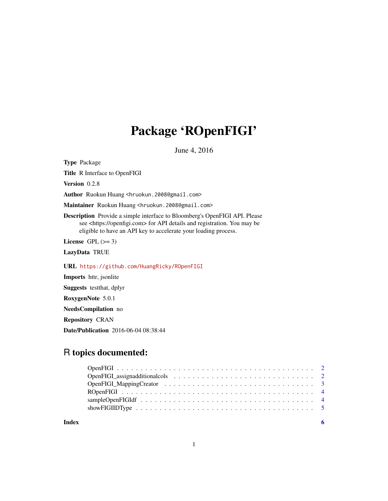## Package 'ROpenFIGI'

June 4, 2016

Type Package

Title R Interface to OpenFIGI

Version 0.2.8

Author Ruokun Huang <hruokun.2008@gmail.com>

Maintainer Ruokun Huang <hruokun.2008@gmail.com>

Description Provide a simple interface to Bloomberg's OpenFIGI API. Please see <https://openfigi.com> for API details and registration. You may be eligible to have an API key to accelerate your loading process.

License GPL  $(>= 3)$ 

LazyData TRUE

URL <https://github.com/HuangRicky/ROpenFIGI>

Imports httr, jsonlite

Suggests testthat, dplyr

RoxygenNote 5.0.1

NeedsCompilation no

Repository CRAN

Date/Publication 2016-06-04 08:38:44

## R topics documented:

**Index** [6](#page-5-0) **6**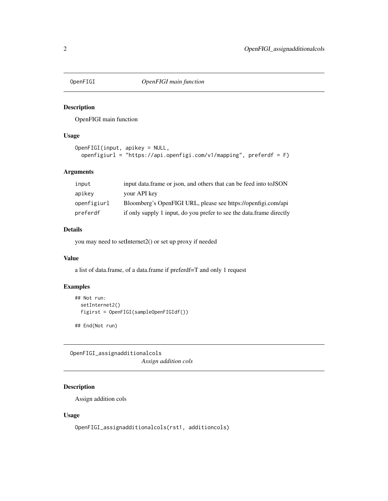<span id="page-1-0"></span>

#### Description

OpenFIGI main function

#### Usage

```
OpenFIGI(input, apikey = NULL,
 openfigiurl = "https://api.openfigi.com/v1/mapping", preferdf = F)
```
#### Arguments

| input       | input data frame or ison, and others that can be feed into to JSON   |
|-------------|----------------------------------------------------------------------|
| apikey      | your API key                                                         |
| openfigiurl | Bloomberg's OpenFIGI URL, please see https://openfigi.com/api        |
| preferdf    | if only supply 1 input, do you prefer to see the data.frame directly |

#### Details

you may need to setInternet2() or set up proxy if needed

#### Value

a list of data.frame, of a data.frame if preferdf=T and only 1 request

#### Examples

```
## Not run:
 setInternet2()
 figirst = OpenFIGI(sampleOpenFIGIdf())
```
## End(Not run)

OpenFIGI\_assignadditionalcols *Assign addition cols*

#### Description

Assign addition cols

#### Usage

OpenFIGI\_assignadditionalcols(rst1, additioncols)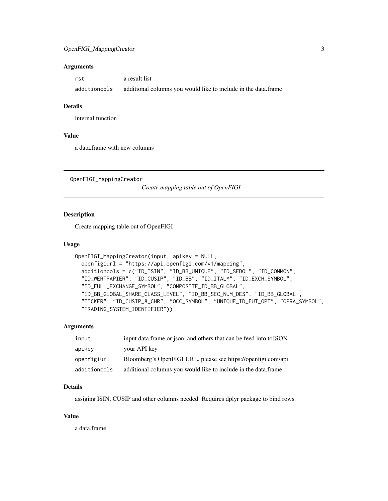#### <span id="page-2-0"></span>Arguments

| rst1         | a result list                                                  |
|--------------|----------------------------------------------------------------|
| additioncols | additional columns you would like to include in the data.frame |

#### Details

internal function

#### Value

a data.frame with new columns

OpenFIGI\_MappingCreator

*Create mapping table out of OpenFIGI*

#### Description

Create mapping table out of OpenFIGI

#### Usage

```
OpenFIGI_MappingCreator(input, apikey = NULL,
  openfigiurl = "https://api.openfigi.com/v1/mapping",
  additioncols = c("ID_ISIN", "ID_BB_UNIQUE", "ID_SEDOL", "ID_COMMON",
  "ID_WERTPAPIER", "ID_CUSIP", "ID_BB", "ID_ITALY", "ID_EXCH_SYMBOL",
  "ID_FULL_EXCHANGE_SYMBOL", "COMPOSITE_ID_BB_GLOBAL",
  "ID_BB_GLOBAL_SHARE_CLASS_LEVEL", "ID_BB_SEC_NUM_DES", "ID_BB_GLOBAL",
  "TICKER", "ID_CUSIP_8_CHR", "OCC_SYMBOL", "UNIQUE_ID_FUT_OPT", "OPRA_SYMBOL",
  "TRADING_SYSTEM_IDENTIFIER"))
```
#### Arguments

| input        | input data. frame or json, and others that can be feed into to JSON |
|--------------|---------------------------------------------------------------------|
| apikey       | your API key                                                        |
| openfigiurl  | Bloomberg's OpenFIGI URL, please see https://openfigi.com/api       |
| additioncols | additional columns you would like to include in the data.frame      |

#### Details

assiging ISIN, CUSIP and other columns needed. Requires dplyr package to bind rows.

#### Value

a data.frame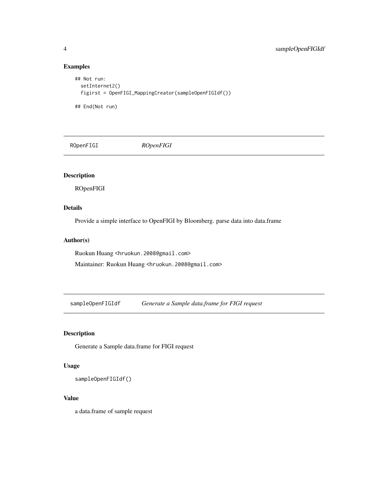#### Examples

```
## Not run:
  setInternet2()
  figirst = OpenFIGI_MappingCreator(sampleOpenFIGIdf())
## End(Not run)
```
ROpenFIGI *ROpenFIGI*

#### Description

ROpenFIGI

#### Details

Provide a simple interface to OpenFIGI by Bloomberg. parse data into data.frame

#### Author(s)

Ruokun Huang <hruokun.2008@gmail.com>

Maintainer: Ruokun Huang <hruokun.2008@gmail.com>

sampleOpenFIGIdf *Generate a Sample data.frame for FIGI request*

#### Description

Generate a Sample data.frame for FIGI request

#### Usage

sampleOpenFIGIdf()

#### Value

a data.frame of sample request

<span id="page-3-0"></span>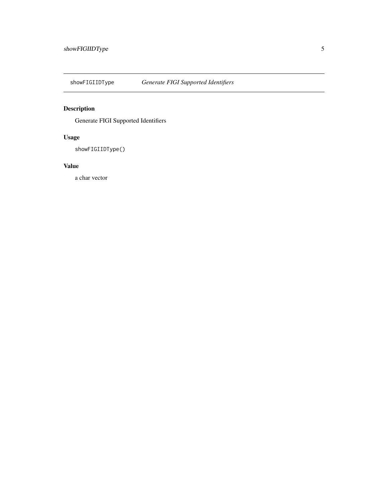<span id="page-4-0"></span>

## Description

Generate FIGI Supported Identifiers

## Usage

showFIGIIDType()

#### Value

a char vector